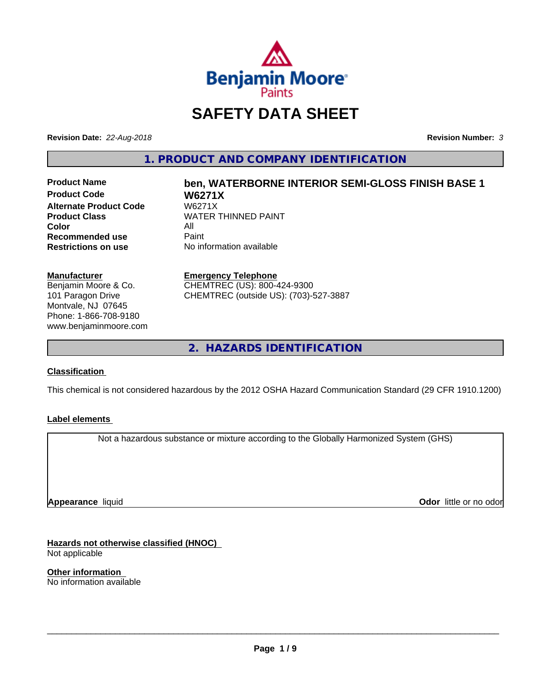

# **SAFETY DATA SHEET**

**Revision Date:** *22-Aug-2018* **Revision Number:** *3*

**1. PRODUCT AND COMPANY IDENTIFICATION**

**Product Code W6271X Alternate Product Code W6271X**<br>Product Class WATER **Color** All<br> **Recommended use** Paint **Recommended use**<br>Restrictions on use

# **Product Name ben, WATERBORNE INTERIOR SEMI-GLOSS FINISH BASE 1 WATER THINNED PAINT**

**No information available** 

#### **Manufacturer**

Benjamin Moore & Co. 101 Paragon Drive Montvale, NJ 07645 Phone: 1-866-708-9180 www.benjaminmoore.com

#### **Emergency Telephone**

CHEMTREC (US): 800-424-9300 CHEMTREC (outside US): (703)-527-3887

**2. HAZARDS IDENTIFICATION**

#### **Classification**

This chemical is not considered hazardous by the 2012 OSHA Hazard Communication Standard (29 CFR 1910.1200)

#### **Label elements**

Not a hazardous substance or mixture according to the Globally Harmonized System (GHS)

**Appearance** liquid

**Odor** little or no odor

**Hazards not otherwise classified (HNOC)** Not applicable

**Other information** No information available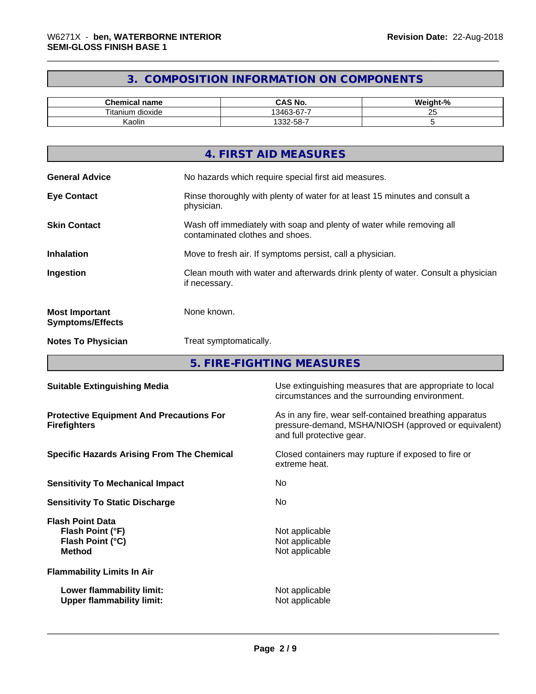# **3. COMPOSITION INFORMATION ON COMPONENTS**

| ' name<br>∴no∽<br>mical<br>.        | AS No.<br>r٨                                      | $\sim$<br>- - |
|-------------------------------------|---------------------------------------------------|---------------|
| $- \cdot$ .<br>⊧ dioxide<br>itanium | -<br>$\sim$<br>.<br>≅46، ن<br>n-n<br>un de<br>. . | ∼             |
| . .<br>Kaolir                       | E O<br>000<br>-<br>-၁၀-<br>- 2021                 |               |

|                                                  | 4. FIRST AID MEASURES                                                                                    |
|--------------------------------------------------|----------------------------------------------------------------------------------------------------------|
| <b>General Advice</b>                            | No hazards which require special first aid measures.                                                     |
| <b>Eye Contact</b>                               | Rinse thoroughly with plenty of water for at least 15 minutes and consult a<br>physician.                |
| <b>Skin Contact</b>                              | Wash off immediately with soap and plenty of water while removing all<br>contaminated clothes and shoes. |
| <b>Inhalation</b>                                | Move to fresh air. If symptoms persist, call a physician.                                                |
| Ingestion                                        | Clean mouth with water and afterwards drink plenty of water. Consult a physician<br>if necessary.        |
| <b>Most Important</b><br><b>Symptoms/Effects</b> | None known.                                                                                              |
| <b>Notes To Physician</b>                        | Treat symptomatically.                                                                                   |
|                                                  |                                                                                                          |

**5. FIRE-FIGHTING MEASURES**

| <b>Suitable Extinguishing Media</b>                                              | Use extinguishing measures that are appropriate to local<br>circumstances and the surrounding environment.                                   |
|----------------------------------------------------------------------------------|----------------------------------------------------------------------------------------------------------------------------------------------|
| <b>Protective Equipment And Precautions For</b><br><b>Firefighters</b>           | As in any fire, wear self-contained breathing apparatus<br>pressure-demand, MSHA/NIOSH (approved or equivalent)<br>and full protective gear. |
| <b>Specific Hazards Arising From The Chemical</b>                                | Closed containers may rupture if exposed to fire or<br>extreme heat.                                                                         |
| <b>Sensitivity To Mechanical Impact</b>                                          | No.                                                                                                                                          |
| <b>Sensitivity To Static Discharge</b>                                           | No                                                                                                                                           |
| <b>Flash Point Data</b><br>Flash Point (°F)<br>Flash Point (°C)<br><b>Method</b> | Not applicable<br>Not applicable<br>Not applicable                                                                                           |
| <b>Flammability Limits In Air</b>                                                |                                                                                                                                              |
| Lower flammability limit:<br><b>Upper flammability limit:</b>                    | Not applicable<br>Not applicable                                                                                                             |
|                                                                                  |                                                                                                                                              |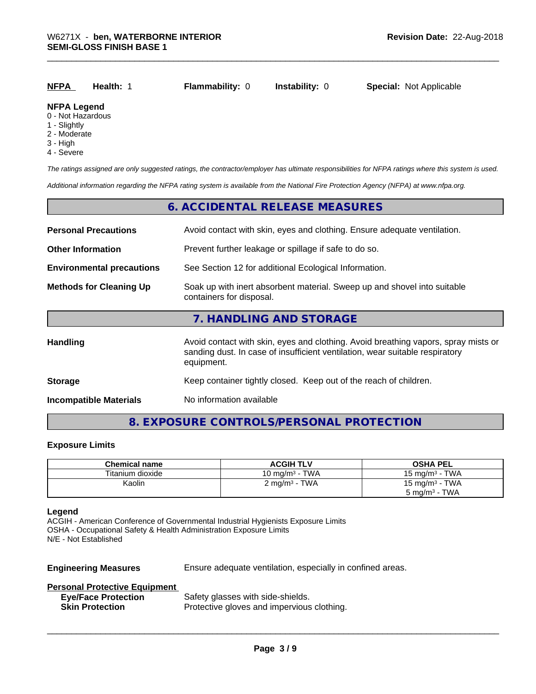#### **NFPA Legend**

- 0 Not Hazardous
- 1 Slightly
- 2 Moderate
- 3 High
- 4 Severe

*The ratings assigned are only suggested ratings, the contractor/employer has ultimate responsibilities for NFPA ratings where this system is used.*

*Additional information regarding the NFPA rating system is available from the National Fire Protection Agency (NFPA) at www.nfpa.org.*

#### **6. ACCIDENTAL RELEASE MEASURES**

| <b>Personal Precautions</b>      | Avoid contact with skin, eyes and clothing. Ensure adequate ventilation.                                                                                                         |  |  |  |
|----------------------------------|----------------------------------------------------------------------------------------------------------------------------------------------------------------------------------|--|--|--|
| <b>Other Information</b>         | Prevent further leakage or spillage if safe to do so.                                                                                                                            |  |  |  |
| <b>Environmental precautions</b> | See Section 12 for additional Ecological Information.                                                                                                                            |  |  |  |
| <b>Methods for Cleaning Up</b>   | Soak up with inert absorbent material. Sweep up and shovel into suitable<br>containers for disposal.                                                                             |  |  |  |
|                                  | 7. HANDLING AND STORAGE                                                                                                                                                          |  |  |  |
| Handling                         | Avoid contact with skin, eyes and clothing. Avoid breathing vapors, spray mists or<br>sanding dust. In case of insufficient ventilation, wear suitable respiratory<br>equipment. |  |  |  |
| <b>Storage</b>                   | Keep container tightly closed. Keep out of the reach of children.                                                                                                                |  |  |  |
| <b>Incompatible Materials</b>    | No information available                                                                                                                                                         |  |  |  |

## **8. EXPOSURE CONTROLS/PERSONAL PROTECTION**

#### **Exposure Limits**

| <b>Chemical name</b> | <b>ACGIH TLV</b>         | <b>OSHA PEL</b>              |
|----------------------|--------------------------|------------------------------|
| Titanium dioxide     | 10 mg/m $3$ - TWA        | 15 mg/m $3$ - TWA            |
| Kaolin               | $2 \text{ mg/m}^3$ - TWA | 15 mg/m $3$ - TWA            |
|                      |                          | TWA<br>5 mg/m <sup>3</sup> - |

#### **Legend**

ACGIH - American Conference of Governmental Industrial Hygienists Exposure Limits OSHA - Occupational Safety & Health Administration Exposure Limits N/E - Not Established

**Engineering Measures** Ensure adequate ventilation, especially in confined areas.

 $\overline{\phantom{a}}$  ,  $\overline{\phantom{a}}$  ,  $\overline{\phantom{a}}$  ,  $\overline{\phantom{a}}$  ,  $\overline{\phantom{a}}$  ,  $\overline{\phantom{a}}$  ,  $\overline{\phantom{a}}$  ,  $\overline{\phantom{a}}$  ,  $\overline{\phantom{a}}$  ,  $\overline{\phantom{a}}$  ,  $\overline{\phantom{a}}$  ,  $\overline{\phantom{a}}$  ,  $\overline{\phantom{a}}$  ,  $\overline{\phantom{a}}$  ,  $\overline{\phantom{a}}$  ,  $\overline{\phantom{a}}$ 

#### **Personal Protective Equipment**

| <b>Eye/Face Protection</b> | Safety glasses with side-shields.          |
|----------------------------|--------------------------------------------|
| <b>Skin Protection</b>     | Protective gloves and impervious clothing. |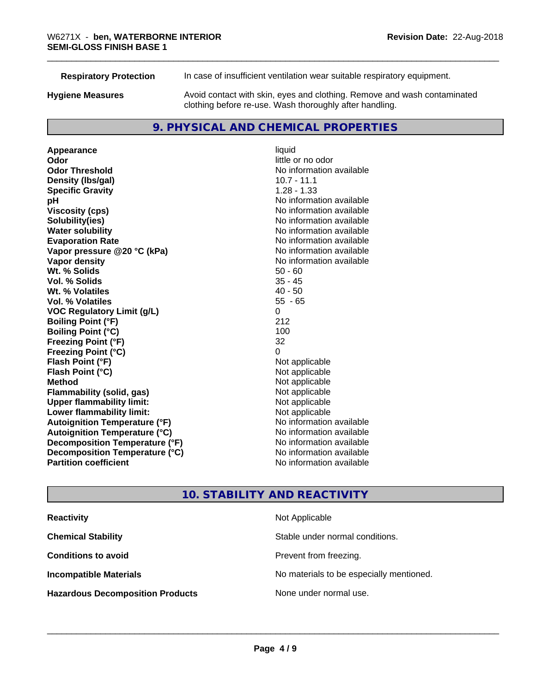| <b>Respiratory Protection</b> | In case of insufficient ventilation wear suitable respiratory equipment.                                                            |  |
|-------------------------------|-------------------------------------------------------------------------------------------------------------------------------------|--|
| <b>Hygiene Measures</b>       | Avoid contact with skin, eyes and clothing. Remove and wash contaminated<br>clothing before re-use. Wash thoroughly after handling. |  |
|                               |                                                                                                                                     |  |

# **9. PHYSICAL AND CHEMICAL PROPERTIES**

**Appearance** liquid **odor** liquid **odor** little c **Odor Odor** little or no odor<br> **Odor Threshold Containery Containery Containery Containery Containery Property** Report **Density (lbs/gal)** 10.7 - 11.1 **Specific Gravity** 1.28 - 1.33 **pH** No information available **Viscosity (cps)** No information available **Solubility(ies)**<br> **Solubility**<br> **Water solubility**<br> **Water solubility Evaporation Rate Conservation Rate** No information available<br> **Vapor pressure @20 °C (kPa)** No information available **Vapor** pressure @20 °C (kPa) **Vapor density No information available No** information available **Wt. % Solids** 50 - 60<br> **Vol. % Solids** 50 - 60<br> **Vol. % Solids** 50 - 45 **Vol. % Solids** 35 - 45 **Wt. % Volatiles Vol. % Volatiles** 55 - 65 **VOC Regulatory Limit (g/L)** 0 **Boiling Point (°F)** 212 **Boiling Point (°C)** 100 **Freezing Point (°F)** 32 **Freezing Point (°C)** 0 **Flash Point (°F)**<br> **Flash Point (°C)**<br> **Flash Point (°C)**<br> **C Flash Point (°C) Method**<br> **Flammability (solid, gas)**<br> **Example 2018** Not applicable **Flammability (solid, gas)** Not applicable<br> **Upper flammability limit:** Not applicable **Upper flammability limit: Lower flammability limit:**<br> **Autoignition Temperature (°F)** Not applicable havailable available **Autoignition Temperature (°F) Autoignition Temperature (°C)** No information available **Decomposition Temperature (°F)** No information available **Decomposition Temperature (°C)** No information available **Partition coefficient Contract Contract Contract Contract Contract Contract Contract Contract Contract Contract Contract Contract Contract Contract Contract Contract Contract Contract Contract Contract Contract Contract** 

**No information available No information available** 

# **10. STABILITY AND REACTIVITY**

| <b>Reactivity</b>                       | Not Applicable                           |
|-----------------------------------------|------------------------------------------|
| <b>Chemical Stability</b>               | Stable under normal conditions.          |
| <b>Conditions to avoid</b>              | Prevent from freezing.                   |
| <b>Incompatible Materials</b>           | No materials to be especially mentioned. |
| <b>Hazardous Decomposition Products</b> | None under normal use.                   |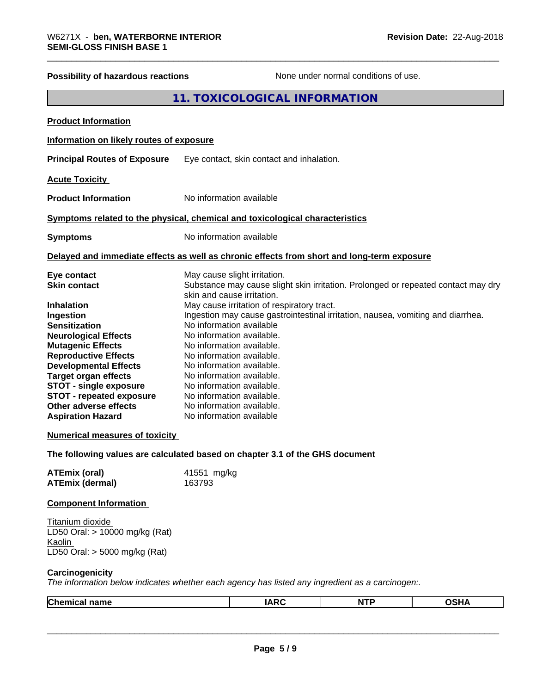| <b>Possibility of hazardous reactions</b>                                                                                                                                                                                                                                                                                                                                                                               |                       |                                                                                                                                                                                                                                                                                                                                                                                                          | None under normal conditions of use.                                                                                                                                 |             |
|-------------------------------------------------------------------------------------------------------------------------------------------------------------------------------------------------------------------------------------------------------------------------------------------------------------------------------------------------------------------------------------------------------------------------|-----------------------|----------------------------------------------------------------------------------------------------------------------------------------------------------------------------------------------------------------------------------------------------------------------------------------------------------------------------------------------------------------------------------------------------------|----------------------------------------------------------------------------------------------------------------------------------------------------------------------|-------------|
|                                                                                                                                                                                                                                                                                                                                                                                                                         |                       | 11. TOXICOLOGICAL INFORMATION                                                                                                                                                                                                                                                                                                                                                                            |                                                                                                                                                                      |             |
| <b>Product Information</b>                                                                                                                                                                                                                                                                                                                                                                                              |                       |                                                                                                                                                                                                                                                                                                                                                                                                          |                                                                                                                                                                      |             |
| Information on likely routes of exposure                                                                                                                                                                                                                                                                                                                                                                                |                       |                                                                                                                                                                                                                                                                                                                                                                                                          |                                                                                                                                                                      |             |
| <b>Principal Routes of Exposure</b>                                                                                                                                                                                                                                                                                                                                                                                     |                       | Eye contact, skin contact and inhalation.                                                                                                                                                                                                                                                                                                                                                                |                                                                                                                                                                      |             |
| <b>Acute Toxicity</b>                                                                                                                                                                                                                                                                                                                                                                                                   |                       |                                                                                                                                                                                                                                                                                                                                                                                                          |                                                                                                                                                                      |             |
| <b>Product Information</b>                                                                                                                                                                                                                                                                                                                                                                                              |                       | No information available                                                                                                                                                                                                                                                                                                                                                                                 |                                                                                                                                                                      |             |
| Symptoms related to the physical, chemical and toxicological characteristics                                                                                                                                                                                                                                                                                                                                            |                       |                                                                                                                                                                                                                                                                                                                                                                                                          |                                                                                                                                                                      |             |
| <b>Symptoms</b>                                                                                                                                                                                                                                                                                                                                                                                                         |                       | No information available                                                                                                                                                                                                                                                                                                                                                                                 |                                                                                                                                                                      |             |
| Delayed and immediate effects as well as chronic effects from short and long-term exposure                                                                                                                                                                                                                                                                                                                              |                       |                                                                                                                                                                                                                                                                                                                                                                                                          |                                                                                                                                                                      |             |
| Eye contact<br><b>Skin contact</b><br><b>Inhalation</b><br>Ingestion<br><b>Sensitization</b><br><b>Neurological Effects</b><br><b>Mutagenic Effects</b><br><b>Reproductive Effects</b><br><b>Developmental Effects</b><br><b>Target organ effects</b><br><b>STOT - single exposure</b><br><b>STOT - repeated exposure</b><br>Other adverse effects<br><b>Aspiration Hazard</b><br><b>Numerical measures of toxicity</b> |                       | May cause slight irritation.<br>skin and cause irritation.<br>May cause irritation of respiratory tract.<br>No information available<br>No information available.<br>No information available.<br>No information available.<br>No information available.<br>No information available.<br>No information available.<br>No information available.<br>No information available.<br>No information available | Substance may cause slight skin irritation. Prolonged or repeated contact may dry<br>Ingestion may cause gastrointestinal irritation, nausea, vomiting and diarrhea. |             |
| The following values are calculated based on chapter 3.1 of the GHS document                                                                                                                                                                                                                                                                                                                                            |                       |                                                                                                                                                                                                                                                                                                                                                                                                          |                                                                                                                                                                      |             |
| <b>ATEmix (oral)</b><br><b>ATEmix (dermal)</b>                                                                                                                                                                                                                                                                                                                                                                          | 41551 mg/kg<br>163793 |                                                                                                                                                                                                                                                                                                                                                                                                          |                                                                                                                                                                      |             |
| <b>Component Information</b>                                                                                                                                                                                                                                                                                                                                                                                            |                       |                                                                                                                                                                                                                                                                                                                                                                                                          |                                                                                                                                                                      |             |
| Titanium dioxide<br>LD50 Oral: > 10000 mg/kg (Rat)<br>Kaolin<br>LD50 Oral: > 5000 mg/kg (Rat)                                                                                                                                                                                                                                                                                                                           |                       |                                                                                                                                                                                                                                                                                                                                                                                                          |                                                                                                                                                                      |             |
| Carcinogenicity<br>The information below indicates whether each agency has listed any ingredient as a carcinogen:.                                                                                                                                                                                                                                                                                                      |                       |                                                                                                                                                                                                                                                                                                                                                                                                          |                                                                                                                                                                      |             |
| <b>Chemical name</b>                                                                                                                                                                                                                                                                                                                                                                                                    |                       | <b>IARC</b>                                                                                                                                                                                                                                                                                                                                                                                              | <b>NTP</b>                                                                                                                                                           | <b>OSHA</b> |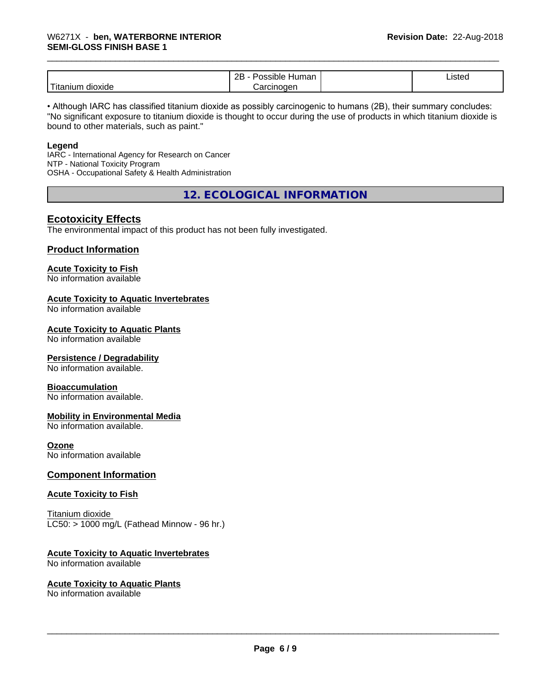# \_\_\_\_\_\_\_\_\_\_\_\_\_\_\_\_\_\_\_\_\_\_\_\_\_\_\_\_\_\_\_\_\_\_\_\_\_\_\_\_\_\_\_\_\_\_\_\_\_\_\_\_\_\_\_\_\_\_\_\_\_\_\_\_\_\_\_\_\_\_\_\_\_\_\_\_\_\_\_\_\_\_\_\_\_\_\_\_\_\_\_\_\_ W6271X - **ben, WATERBORNE INTERIOR SEMI-GLOSS FINISH BASE 1**

|                              | - סר<br>umar<br>⊓ur<br>.<br><u>_ _</u> | Listed |  |
|------------------------------|----------------------------------------|--------|--|
| .<br>l Ita<br>dioxide<br>nur | $\Omega$ r $\Omega$                    |        |  |

• Although IARC has classified titanium dioxide as possibly carcinogenic to humans (2B), their summary concludes: "No significant exposure to titanium dioxide is thought to occur during the use of products in which titanium dioxide is bound to other materials, such as paint."

#### **Legend**

IARC - International Agency for Research on Cancer NTP - National Toxicity Program OSHA - Occupational Safety & Health Administration

**12. ECOLOGICAL INFORMATION**

### **Ecotoxicity Effects**

The environmental impact of this product has not been fully investigated.

#### **Product Information**

#### **Acute Toxicity to Fish**

No information available

#### **Acute Toxicity to Aquatic Invertebrates**

No information available

#### **Acute Toxicity to Aquatic Plants**

No information available

#### **Persistence / Degradability**

No information available.

#### **Bioaccumulation**

No information available.

#### **Mobility in Environmental Media**

No information available.

#### **Ozone**

No information available

#### **Component Information**

#### **Acute Toxicity to Fish**

Titanium dioxide  $LC50:$  > 1000 mg/L (Fathead Minnow - 96 hr.)

#### **Acute Toxicity to Aquatic Invertebrates**

No information available

#### **Acute Toxicity to Aquatic Plants**

No information available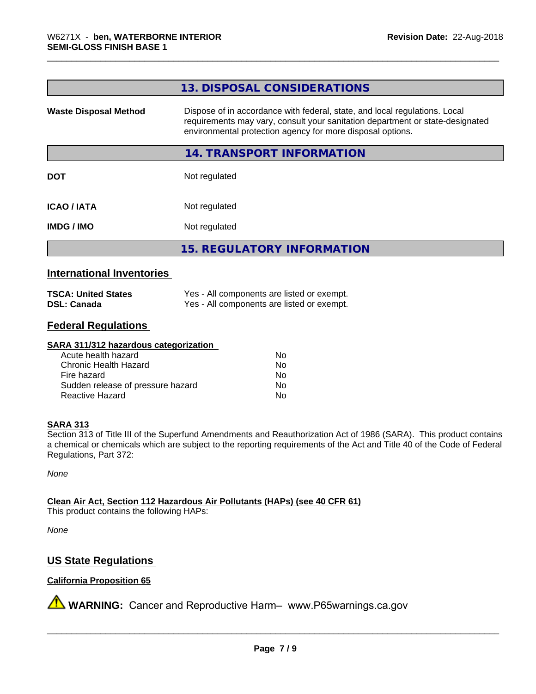| 13. DISPOSAL CONSIDERATIONS                                                                                                                                                                                               |
|---------------------------------------------------------------------------------------------------------------------------------------------------------------------------------------------------------------------------|
| Dispose of in accordance with federal, state, and local regulations. Local<br>requirements may vary, consult your sanitation department or state-designated<br>environmental protection agency for more disposal options. |
| <b>14. TRANSPORT INFORMATION</b>                                                                                                                                                                                          |
| Not regulated                                                                                                                                                                                                             |
| Not regulated                                                                                                                                                                                                             |
| Not regulated                                                                                                                                                                                                             |
| <b>15. REGULATORY INFORMATION</b>                                                                                                                                                                                         |
|                                                                                                                                                                                                                           |

#### **International Inventories**

| <b>TSCA: United States</b> | Yes - All components are listed or exempt. |
|----------------------------|--------------------------------------------|
| <b>DSL: Canada</b>         | Yes - All components are listed or exempt. |

#### **Federal Regulations**

#### **SARA 311/312 hazardous categorization**

| Acute health hazard               | Nο |  |
|-----------------------------------|----|--|
| Chronic Health Hazard             | Nο |  |
| Fire hazard                       | Nο |  |
| Sudden release of pressure hazard | Nο |  |
| Reactive Hazard                   | Nο |  |

#### **SARA 313**

Section 313 of Title III of the Superfund Amendments and Reauthorization Act of 1986 (SARA). This product contains a chemical or chemicals which are subject to the reporting requirements of the Act and Title 40 of the Code of Federal Regulations, Part 372:

*None*

**Clean Air Act,Section 112 Hazardous Air Pollutants (HAPs) (see 40 CFR 61)**

This product contains the following HAPs:

*None*

# **US State Regulations**

#### **California Proposition 65**

**A** WARNING: Cancer and Reproductive Harm– www.P65warnings.ca.gov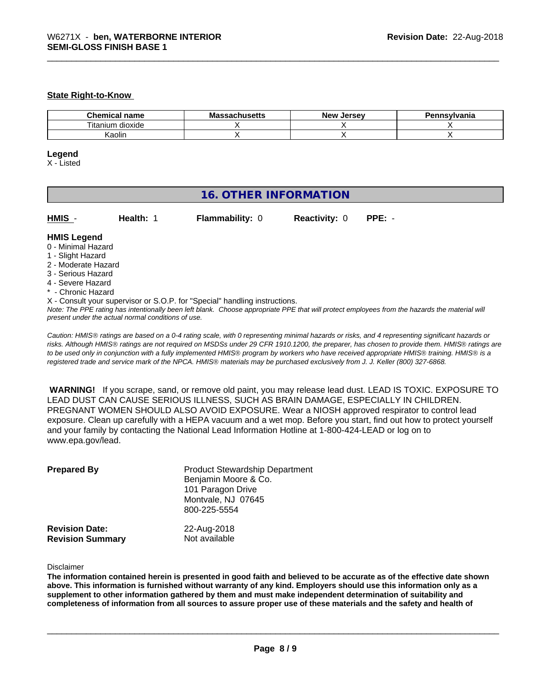#### **State Right-to-Know**

| name<br>hemical<br>.   | .<br>Мi<br>nuscus | . Jerse∨<br>– Ne™ | าnsvlvania |
|------------------------|-------------------|-------------------|------------|
| --<br>Titanium dioxide |                   |                   |            |
| Kaolir.                |                   |                   |            |

#### **Legend**

X - Listed

# **16. OTHER INFORMATION**

| HMIS - | <b>Health:</b> 1 | <b>Flammability: 0</b> | <b>Reactivity: 0</b> | $PPE: -$ |
|--------|------------------|------------------------|----------------------|----------|

#### **HMIS Legend**

- 0 Minimal Hazard
- 1 Slight Hazard
- 2 Moderate Hazard
- 3 Serious Hazard
- 4 Severe Hazard
- **Chronic Hazard**
- X Consult your supervisor or S.O.P. for "Special" handling instructions.

*Note: The PPE rating has intentionally been left blank. Choose appropriate PPE that will protect employees from the hazards the material will present under the actual normal conditions of use.*

*Caution: HMISÒ ratings are based on a 0-4 rating scale, with 0 representing minimal hazards or risks, and 4 representing significant hazards or risks. Although HMISÒ ratings are not required on MSDSs under 29 CFR 1910.1200, the preparer, has chosen to provide them. HMISÒ ratings are to be used only in conjunction with a fully implemented HMISÒ program by workers who have received appropriate HMISÒ training. HMISÒ is a registered trade and service mark of the NPCA. HMISÒ materials may be purchased exclusively from J. J. Keller (800) 327-6868.*

 **WARNING!** If you scrape, sand, or remove old paint, you may release lead dust. LEAD IS TOXIC. EXPOSURE TO LEAD DUST CAN CAUSE SERIOUS ILLNESS, SUCH AS BRAIN DAMAGE, ESPECIALLY IN CHILDREN. PREGNANT WOMEN SHOULD ALSO AVOID EXPOSURE.Wear a NIOSH approved respirator to control lead exposure. Clean up carefully with a HEPA vacuum and a wet mop. Before you start, find out how to protect yourself and your family by contacting the National Lead Information Hotline at 1-800-424-LEAD or log on to www.epa.gov/lead.

| <b>Prepared By</b>                               | <b>Product Stewardship Department</b><br>Benjamin Moore & Co.<br>101 Paragon Drive<br>Montvale, NJ 07645<br>800-225-5554 |  |
|--------------------------------------------------|--------------------------------------------------------------------------------------------------------------------------|--|
| <b>Revision Date:</b><br><b>Revision Summary</b> | 22-Aug-2018<br>Not available                                                                                             |  |

Disclaimer

The information contained herein is presented in good faith and believed to be accurate as of the effective date shown above. This information is furnished without warranty of any kind. Emplovers should use this information only as a **supplement to other information gathered by them and must make independent determination of suitability and** completeness of information from all sources to assure proper use of these materials and the safety and health of